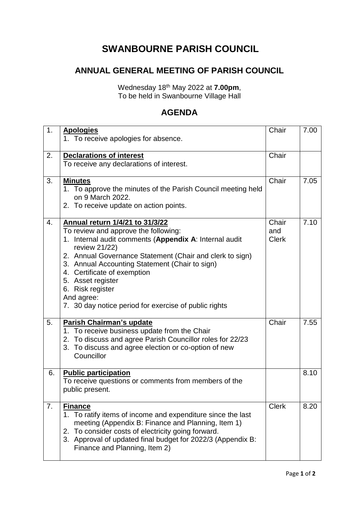## **SWANBOURNE PARISH COUNCIL**

## **ANNUAL GENERAL MEETING OF PARISH COUNCIL**

Wednesday 18th May 2022 at **7.00pm**, To be held in Swanbourne Village Hall

## **AGENDA**

| 1. | <b>Apologies</b><br>1. To receive apologies for absence.                                                                                                                                                                                                                                                                                                                                                        | Chair                        | 7.00 |
|----|-----------------------------------------------------------------------------------------------------------------------------------------------------------------------------------------------------------------------------------------------------------------------------------------------------------------------------------------------------------------------------------------------------------------|------------------------------|------|
| 2. | <b>Declarations of interest</b><br>To receive any declarations of interest.                                                                                                                                                                                                                                                                                                                                     | Chair                        |      |
| 3. | <b>Minutes</b><br>1. To approve the minutes of the Parish Council meeting held<br>on 9 March 2022.<br>2. To receive update on action points.                                                                                                                                                                                                                                                                    | Chair                        | 7.05 |
| 4. | Annual return 1/4/21 to 31/3/22<br>To review and approve the following:<br>1. Internal audit comments (Appendix A: Internal audit<br>review 21/22)<br>2. Annual Governance Statement (Chair and clerk to sign)<br>3. Annual Accounting Statement (Chair to sign)<br>4. Certificate of exemption<br>5. Asset register<br>6. Risk register<br>And agree:<br>7. 30 day notice period for exercise of public rights | Chair<br>and<br><b>Clerk</b> | 7.10 |
| 5. | Parish Chairman's update<br>1. To receive business update from the Chair<br>2. To discuss and agree Parish Councillor roles for 22/23<br>3. To discuss and agree election or co-option of new<br>Councillor                                                                                                                                                                                                     | Chair                        | 7.55 |
| 6. | <b>Public participation</b><br>To receive questions or comments from members of the<br>public present.                                                                                                                                                                                                                                                                                                          |                              | 8.10 |
| 7. | <b>Finance</b><br>1. To ratify items of income and expenditure since the last<br>meeting (Appendix B: Finance and Planning, Item 1)<br>2. To consider costs of electricity going forward.<br>3. Approval of updated final budget for 2022/3 (Appendix B:<br>Finance and Planning, Item 2)                                                                                                                       | <b>Clerk</b>                 | 8.20 |